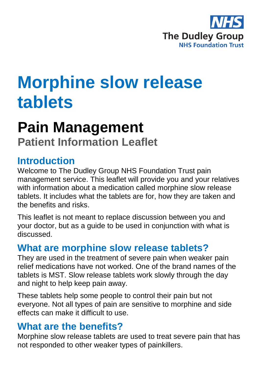

# **Morphine slow release tablets**

# **Pain Management**

**Patient Information Leaflet**

#### **Introduction**

Welcome to The Dudley Group NHS Foundation Trust pain management service. This leaflet will provide you and your relatives with information about a medication called morphine slow release tablets. It includes what the tablets are for, how they are taken and the benefits and risks.

This leaflet is not meant to replace discussion between you and your doctor, but as a guide to be used in conjunction with what is discussed.

### **What are morphine slow release tablets?**

They are used in the treatment of severe pain when weaker pain relief medications have not worked. One of the brand names of the tablets is MST. Slow release tablets work slowly through the day and night to help keep pain away.

These tablets help some people to control their pain but not everyone. Not all types of pain are sensitive to morphine and side effects can make it difficult to use.

#### **What are the benefits?**

Morphine slow release tablets are used to treat severe pain that has not responded to other weaker types of painkillers.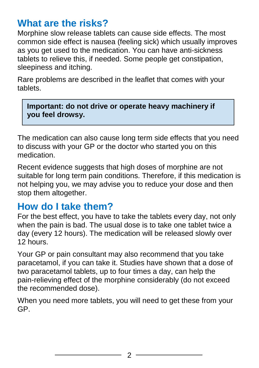#### **What are the risks?**

Morphine slow release tablets can cause side effects. The most common side effect is nausea (feeling sick) which usually improves as you get used to the medication. You can have anti-sickness tablets to relieve this, if needed. Some people get constipation, sleepiness and itching.

Rare problems are described in the leaflet that comes with your tablets.

**Important: do not drive or operate heavy machinery if you feel drowsy.**

The medication can also cause long term side effects that you need to discuss with your GP or the doctor who started you on this medication.

Recent evidence suggests that high doses of morphine are not suitable for long term pain conditions. Therefore, if this medication is not helping you, we may advise you to reduce your dose and then stop them altogether.

#### **How do I take them?**

For the best effect, you have to take the tablets every day, not only when the pain is bad. The usual dose is to take one tablet twice a day (every 12 hours). The medication will be released slowly over 12 hours.

Your GP or pain consultant may also recommend that you take paracetamol, if you can take it. Studies have shown that a dose of two paracetamol tablets, up to four times a day, can help the pain-relieving effect of the morphine considerably (do not exceed the recommended dose).

When you need more tablets, you will need to get these from your GP.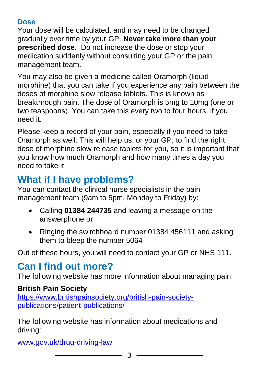#### **Dose**

Your dose will be calculated, and may need to be changed gradually over time by your GP. **Never take more than your prescribed dose.** Do not increase the dose or stop your medication suddenly without consulting your GP or the pain management team.

You may also be given a medicine called Oramorph (liquid morphine) that you can take if you experience any pain between the doses of morphine slow release tablets. This is known as breakthrough pain. The dose of Oramorph is 5mg to 10mg (one or two teaspoons). You can take this every two to four hours, if you need it.

Please keep a record of your pain, especially if you need to take Oramorph as well. This will help us, or your GP, to find the right dose of morphine slow release tablets for you, so it is important that you know how much Oramorph and how many times a day you need to take it.

# **What if I have problems?**

You can contact the clinical nurse specialists in the pain management team (9am to 5pm, Monday to Friday) by:

- Calling **01384 244735** and leaving a message on the answerphone or
- Ringing the switchboard number 01384 456111 and asking them to bleep the number 5064

Out of these hours, you will need to contact your GP or NHS 111.

## **Can I find out more?**

The following website has more information about managing pain:

#### **British Pain Society**

[https://www.britishpainsociety.org/british-pain-society](https://www.britishpainsociety.org/british-pain-society-publications/patient-publications/)[publications/patient-publications/](https://www.britishpainsociety.org/british-pain-society-publications/patient-publications/)

The following website has information about medications and driving:

[www.gov.uk/drug-driving-law](file://///dgohbrkfile/Foundation_Team$/Patient%20Information/Patient%20Information%20Leaflets/Patient%20Information%20Under%20Review/Leaflets%20with%20changes%20in%20progress/Pain%20management%20review_files/www.gov.uk/drug-driving-law)